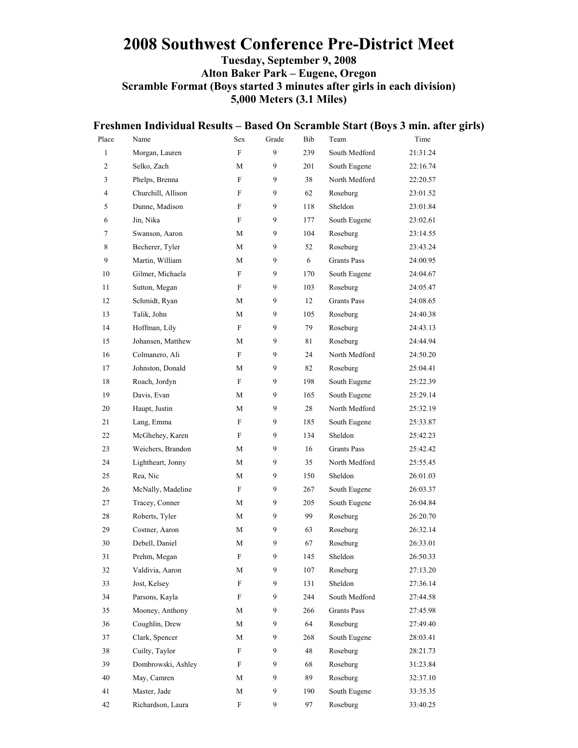### **2008 Southwest Conference Pre-District Meet Tuesday, September 9, 2008 Alton Baker Park – Eugene, Oregon Scramble Format (Boys started 3 minutes after girls in each division) 5,000 Meters (3.1 Miles)**

|                |                    |                           |                  |     |                    | Freshmen Individual Results – Based On Scramble Start (Boys 3 min. after girls) |
|----------------|--------------------|---------------------------|------------------|-----|--------------------|---------------------------------------------------------------------------------|
| Place          | Name               | Sex                       | Grade            | Bib | Team               | Time                                                                            |
| $\mathbf{1}$   | Morgan, Lauren     | $\mathbf F$               | $\mathbf{9}$     | 239 | South Medford      | 21:31.24                                                                        |
| $\overline{c}$ | Selko, Zach        | M                         | 9                | 201 | South Eugene       | 22:16.74                                                                        |
| 3              | Phelps, Brenna     | F                         | 9                | 38  | North Medford      | 22:20.57                                                                        |
| $\overline{4}$ | Churchill, Allison | F                         | 9                | 62  | Roseburg           | 23:01.52                                                                        |
| 5              | Dunne, Madison     | F                         | 9                | 118 | Sheldon            | 23:01.84                                                                        |
| 6              | Jin, Nika          | F                         | 9                | 177 | South Eugene       | 23:02.61                                                                        |
| 7              | Swanson, Aaron     | М                         | 9                | 104 | Roseburg           | 23:14.55                                                                        |
| 8              | Becherer, Tyler    | M                         | 9                | 52  | Roseburg           | 23:43.24                                                                        |
| $\overline{9}$ | Martin, William    | М                         | 9                | 6   | <b>Grants Pass</b> | 24:00.95                                                                        |
| 10             | Gilmer, Michaela   | F                         | 9                | 170 | South Eugene       | 24:04.67                                                                        |
| 11             | Sutton, Megan      | F                         | 9                | 103 | Roseburg           | 24:05.47                                                                        |
| 12             | Schmidt, Ryan      | М                         | 9                | 12  | <b>Grants Pass</b> | 24:08.65                                                                        |
| 13             | Talik, John        | М                         | 9                | 105 | Roseburg           | 24:40.38                                                                        |
| 14             | Hoffman, Lily      | $\boldsymbol{F}$          | 9                | 79  | Roseburg           | 24:43.13                                                                        |
| 15             | Johansen, Matthew  | М                         | 9                | 81  | Roseburg           | 24:44.94                                                                        |
| 16             | Colmanero, Ali     | $\mathbf F$               | 9                | 24  | North Medford      | 24:50.20                                                                        |
| 17             | Johnston, Donald   | М                         | 9                | 82  | Roseburg           | 25:04.41                                                                        |
| 18             | Roach, Jordyn      | F                         | 9                | 198 | South Eugene       | 25:22.39                                                                        |
| 19             | Davis, Evan        | M                         | 9                | 165 | South Eugene       | 25:29.14                                                                        |
| 20             | Haupt, Justin      | M                         | 9                | 28  | North Medford      | 25:32.19                                                                        |
| 21             | Lang, Emma         | F                         | 9                | 185 | South Eugene       | 25:33.87                                                                        |
| 22             | McGhehey, Karen    | F                         | 9                | 134 | Sheldon            | 25:42.23                                                                        |
| 23             | Weichers, Brandon  | М                         | 9                | 16  | <b>Grants Pass</b> | 25:42.42                                                                        |
| 24             | Lightheart, Jonny  | M                         | 9                | 35  | North Medford      | 25:55.45                                                                        |
| 25             | Rea, Nic           | M                         | 9                | 150 | Sheldon            | 26:01.03                                                                        |
| 26             | McNally, Madeline  | F                         | 9                | 267 | South Eugene       | 26:03.37                                                                        |
| 27             | Tracey, Conner     | М                         | 9                | 205 | South Eugene       | 26:04.84                                                                        |
| 28             | Roberts, Tyler     | М                         | 9                | 99  | Roseburg           | 26:20.70                                                                        |
| 29             | Costner, Aaron     | M                         | 9                | 63  | Roseburg           | 26:32.14                                                                        |
| 30             | Debell, Daniel     | M                         | 9                | 67  | Roseburg           | 26:33.01                                                                        |
| 31             | Prehm, Megan       | $\boldsymbol{\mathrm{F}}$ | $\overline{9}$   | 145 | Sheldon            | 26:50.33                                                                        |
| 32             | Valdivia, Aaron    | $\mathbf M$               | 9                | 107 | Roseburg           | 27:13.20                                                                        |
| 33             | Jost, Kelsey       | ${\rm F}$                 | 9                | 131 | Sheldon            | 27:36.14                                                                        |
| 34             | Parsons, Kayla     | F                         | 9                | 244 | South Medford      | 27:44.58                                                                        |
| 35             | Mooney, Anthony    | $\mathbf M$               | 9                | 266 | <b>Grants Pass</b> | 27:45.98                                                                        |
| 36             | Coughlin, Drew     | $\mathbf M$               | 9                | 64  | Roseburg           | 27:49.40                                                                        |
| 37             | Clark, Spencer     | M                         | 9                | 268 | South Eugene       | 28:03.41                                                                        |
| 38             | Cuilty, Taylor     | F                         | 9                | 48  | Roseburg           | 28:21.73                                                                        |
| 39             | Dombrowski, Ashley | $\boldsymbol{\mathrm{F}}$ | 9                | 68  | Roseburg           | 31:23.84                                                                        |
| 40             | May, Camren        | $\mathbf M$               | 9                | 89  | Roseburg           | 32:37.10                                                                        |
| 41             | Master, Jade       | $\mathbf M$               | 9                | 190 | South Eugene       | 33:35.35                                                                        |
| 42             | Richardson, Laura  | F                         | $\boldsymbol{9}$ | 97  | Roseburg           | 33:40.25                                                                        |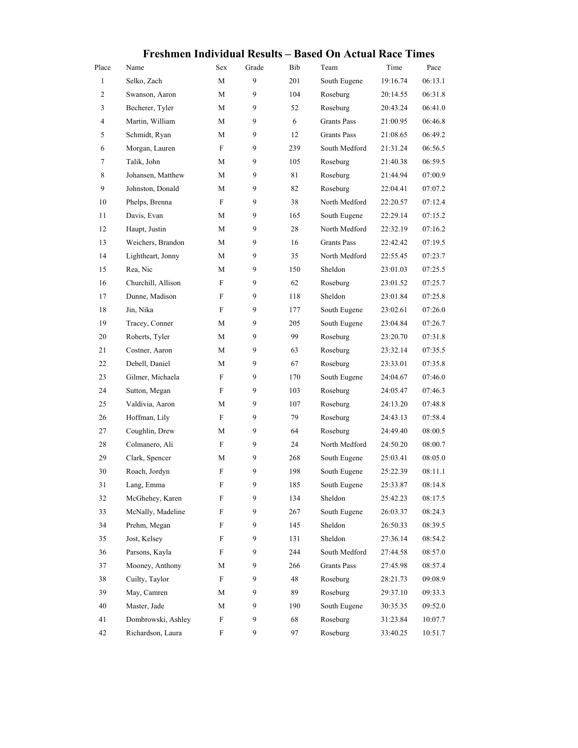|       |                    |                           |       |     | <u> Freshmen mutviqual Results – Dased On Actual Race Thnes</u> |          |         |
|-------|--------------------|---------------------------|-------|-----|-----------------------------------------------------------------|----------|---------|
| Place | Name               | Sex                       | Grade | Bib | Team                                                            | Time     | Pace    |
| 1     | Selko, Zach        | M                         | 9     | 201 | South Eugene                                                    | 19:16.74 | 06:13.1 |
| 2     | Swanson, Aaron     | M                         | 9     | 104 | Roseburg                                                        | 20:14.55 | 06:31.8 |
| 3     | Becherer, Tyler    | М                         | 9     | 52  | Roseburg                                                        | 20:43.24 | 06:41.0 |
| 4     | Martin, William    | M                         | 9     | 6   | <b>Grants Pass</b>                                              | 21:00.95 | 06:46.8 |
| 5     | Schmidt, Ryan      | M                         | 9     | 12  | <b>Grants Pass</b>                                              | 21:08.65 | 06:49.2 |
| 6     | Morgan, Lauren     | F                         | 9     | 239 | South Medford                                                   | 21:31.24 | 06:56.5 |
| 7     | Talik, John        | M                         | 9     | 105 | Roseburg                                                        | 21:40.38 | 06:59.5 |
| 8     | Johansen, Matthew  | M                         | 9     | 81  | Roseburg                                                        | 21:44.94 | 07:00.9 |
| 9     | Johnston, Donald   | M                         | 9     | 82  | Roseburg                                                        | 22:04.41 | 07:07.2 |
| 10    | Phelps, Brenna     | F                         | 9     | 38  | North Medford                                                   | 22:20.57 | 07:12.4 |
| 11    | Davis, Evan        | M                         | 9     | 165 | South Eugene                                                    | 22:29.14 | 07:15.2 |
| 12    | Haupt, Justin      | M                         | 9     | 28  | North Medford                                                   | 22:32.19 | 07:16.2 |
| 13    | Weichers, Brandon  | M                         | 9     | 16  | <b>Grants Pass</b>                                              | 22:42.42 | 07:19.5 |
| 14    | Lightheart, Jonny  | М                         | 9     | 35  | North Medford                                                   | 22:55.45 | 07:23.7 |
| 15    | Rea, Nic           | M                         | 9     | 150 | Sheldon                                                         | 23:01.03 | 07:25.5 |
| 16    | Churchill, Allison | F                         | 9     | 62  | Roseburg                                                        | 23:01.52 | 07:25.7 |
| 17    | Dunne, Madison     | F                         | 9     | 118 | Sheldon                                                         | 23:01.84 | 07:25.8 |
| 18    | Jin, Nika          | F                         | 9     | 177 | South Eugene                                                    | 23:02.61 | 07:26.0 |
| 19    | Tracey, Conner     | M                         | 9     | 205 | South Eugene                                                    | 23:04.84 | 07:26.7 |
| 20    | Roberts, Tyler     | M                         | 9     | 99  | Roseburg                                                        | 23:20.70 | 07:31.8 |
| 21    | Costner, Aaron     | М                         | 9     | 63  | Roseburg                                                        | 23:32.14 | 07:35.5 |
| 22    | Debell, Daniel     | M                         | 9     | 67  | Roseburg                                                        | 23:33.01 | 07:35.8 |
| 23    | Gilmer, Michaela   | F                         | 9     | 170 | South Eugene                                                    | 24:04.67 | 07:46.0 |
| 24    | Sutton, Megan      | F                         | 9     | 103 | Roseburg                                                        | 24:05.47 | 07:46.3 |
| 25    | Valdivia, Aaron    | М                         | 9     | 107 | Roseburg                                                        | 24:13.20 | 07:48.8 |
| 26    | Hoffman, Lily      | F                         | 9     | 79  | Roseburg                                                        | 24:43.13 | 07:58.4 |
| 27    | Coughlin, Drew     | M                         | 9     | 64  | Roseburg                                                        | 24:49.40 | 08:00.5 |
| 28    | Colmanero, Ali     | F                         | 9     | 24  | North Medford                                                   | 24:50.20 | 08:00.7 |
| 29    | Clark, Spencer     | М                         | 9     | 268 | South Eugene                                                    | 25:03.41 | 08:05.0 |
| 30    | Roach, Jordyn      | F                         | 9     | 198 | South Eugene                                                    | 25:22.39 | 08:11.1 |
| 31    | Lang, Emma         | F                         | 9     | 185 | South Eugene                                                    | 25:33.87 | 08:14.8 |
| 32    | McGhehey, Karen    | F                         | 9     | 134 | Sheldon                                                         | 25:42.23 | 08:17.5 |
| 33    | McNally, Madeline  | F                         | 9     | 267 | South Eugene                                                    | 26:03.37 | 08:24.3 |
| 34    | Prehm, Megan       | F                         | 9     | 145 | Sheldon                                                         | 26:50.33 | 08:39.5 |
| 35    | Jost, Kelsey       | F                         | 9     | 131 | Sheldon                                                         | 27:36.14 | 08:54.2 |
| 36    | Parsons, Kayla     | F                         | 9     | 244 | South Medford                                                   | 27:44.58 | 08:57.0 |
| 37    | Mooney, Anthony    | M                         | 9     | 266 | <b>Grants Pass</b>                                              | 27:45.98 | 08:57.4 |
| 38    | Cuilty, Taylor     | F                         | 9     | 48  | Roseburg                                                        | 28:21.73 | 09:08.9 |
| 39    | May, Camren        | M                         | 9     | 89  | Roseburg                                                        | 29:37.10 | 09:33.3 |
| 40    | Master, Jade       | М                         | 9     | 190 | South Eugene                                                    | 30:35.35 | 09:52.0 |
| 41    | Dombrowski, Ashley | $\boldsymbol{\mathrm{F}}$ | 9     | 68  | Roseburg                                                        | 31:23.84 | 10:07.7 |
| 42    | Richardson, Laura  | F                         | 9     | 97  | Roseburg                                                        | 33:40.25 | 10:51.7 |

### **Freshmen Individual Results – Based On Actual Race Times**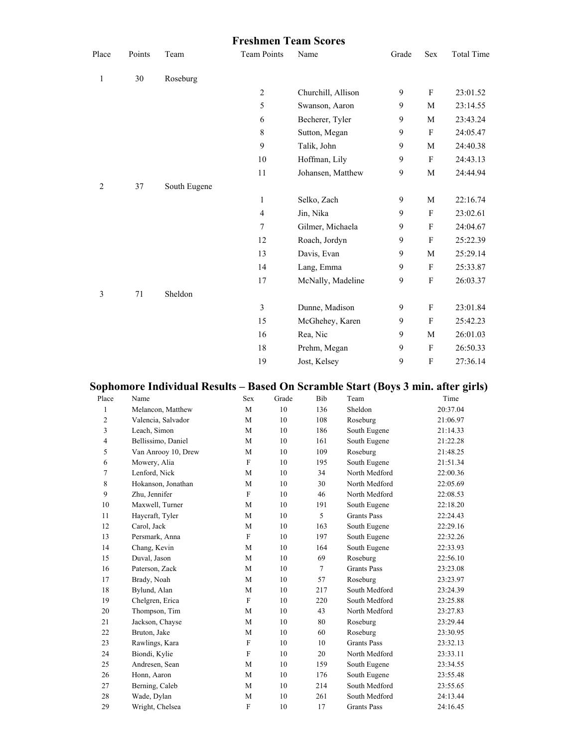#### **Freshmen Team Scores**

| Place        | Points | Team         | <b>Team Points</b> | Name               | Grade        | Sex                       | <b>Total Time</b> |
|--------------|--------|--------------|--------------------|--------------------|--------------|---------------------------|-------------------|
| $\mathbf{1}$ | 30     | Roseburg     |                    |                    |              |                           |                   |
|              |        |              | $\overline{c}$     | Churchill, Allison | 9            | F                         | 23:01.52          |
|              |        |              | 5                  | Swanson, Aaron     | 9            | $\mathbf M$               | 23:14.55          |
|              |        |              | 6                  | Becherer, Tyler    | 9            | M                         | 23:43.24          |
|              |        |              | $\,8\,$            | Sutton, Megan      | 9            | F                         | 24:05.47          |
|              |        |              | 9                  | Talik, John        | 9            | M                         | 24:40.38          |
|              |        |              | 10                 | Hoffman, Lily      | 9            | F                         | 24:43.13          |
|              |        |              | 11                 | Johansen, Matthew  | $\mathbf{9}$ | $\mathbf M$               | 24:44.94          |
| 2            | 37     | South Eugene |                    |                    |              |                           |                   |
|              |        |              | $\mathbf{1}$       | Selko, Zach        | 9            | $\mathbf M$               | 22:16.74          |
|              |        |              | $\overline{4}$     | Jin, Nika          | 9            | $\mathbf{F}$              | 23:02.61          |
|              |        |              | $\boldsymbol{7}$   | Gilmer, Michaela   | 9            | $\boldsymbol{\mathrm{F}}$ | 24:04.67          |
|              |        |              | 12                 | Roach, Jordyn      | 9            | F                         | 25:22.39          |
|              |        |              | 13                 | Davis, Evan        | 9            | M                         | 25:29.14          |
|              |        |              | 14                 | Lang, Emma         | 9            | F                         | 25:33.87          |
|              |        |              | 17                 | McNally, Madeline  | 9            | $\mathbf F$               | 26:03.37          |
| 3            | 71     | Sheldon      |                    |                    |              |                           |                   |
|              |        |              | 3                  | Dunne, Madison     | 9            | $\boldsymbol{\mathrm{F}}$ | 23:01.84          |
|              |        |              | 15                 | McGhehey, Karen    | 9            | $\boldsymbol{F}$          | 25:42.23          |
|              |        |              | 16                 | Rea, Nic           | $\mathbf{9}$ | M                         | 26:01.03          |
|              |        |              | 18                 | Prehm, Megan       | 9            | $\boldsymbol{\mathrm{F}}$ | 26:50.33          |
|              |        |              | 19                 | Jost, Kelsey       | 9            | $\boldsymbol{\mathrm{F}}$ | 27:36.14          |
|              |        |              |                    |                    |              |                           |                   |

# **Sophomore Individual Results – Based On Scramble Start (Boys 3 min. after girls)**

| Place          | Name                | <b>Sex</b>     | Grade | Bib    | Team               | Time     |
|----------------|---------------------|----------------|-------|--------|--------------------|----------|
| 1              | Melancon, Matthew   | M              | 10    | 136    | Sheldon            | 20:37.04 |
| $\overline{c}$ | Valencia, Salvador  | M              | 10    | 108    | Roseburg           | 21:06.97 |
| 3              | Leach, Simon        | M              | 10    | 186    | South Eugene       | 21:14.33 |
| $\overline{4}$ | Bellissimo, Daniel  | M              | 10    | 161    | South Eugene       | 21:22.28 |
| 5              | Van Anrooy 10, Drew | M              | 10    | 109    | Roseburg           | 21:48.25 |
| 6              | Mowery, Alia        | F              | 10    | 195    | South Eugene       | 21:51.34 |
| $\overline{7}$ | Lenford, Nick       | M              | 10    | 34     | North Medford      | 22:00.36 |
| 8              | Hokanson, Jonathan  | M              | 10    | 30     | North Medford      | 22:05.69 |
| 9              | Zhu, Jennifer       | F              | 10    | 46     | North Medford      | 22:08.53 |
| 10             | Maxwell, Turner     | M              | 10    | 191    | South Eugene       | 22:18.20 |
| 11             | Haycraft, Tyler     | M              | 10    | 5      | <b>Grants Pass</b> | 22:24.43 |
| 12             | Carol, Jack         | M              | 10    | 163    | South Eugene       | 22:29.16 |
| 13             | Persmark, Anna      | F              | 10    | 197    | South Eugene       | 22:32.26 |
| 14             | Chang, Kevin        | M              | 10    | 164    | South Eugene       | 22:33.93 |
| 15             | Duval, Jason        | M              | 10    | 69     | Roseburg           | 22:56.10 |
| 16             | Paterson, Zack      | M              | 10    | $\tau$ | <b>Grants Pass</b> | 23:23.08 |
| 17             | Brady, Noah         | M              | 10    | 57     | Roseburg           | 23:23.97 |
| 18             | Bylund, Alan        | M              | 10    | 217    | South Medford      | 23:24.39 |
| 19             | Chelgren, Erica     | F              | 10    | 220    | South Medford      | 23:25.88 |
| 20             | Thompson, Tim       | M              | 10    | 43     | North Medford      | 23:27.83 |
| 21             | Jackson, Chayse     | M              | 10    | 80     | Roseburg           | 23:29.44 |
| 22             | Bruton, Jake        | M              | 10    | 60     | Roseburg           | 23:30.95 |
| 23             | Rawlings, Kara      | F              | 10    | 10     | <b>Grants Pass</b> | 23:32.13 |
| 24             | Biondi, Kylie       | $\overline{F}$ | 10    | 20     | North Medford      | 23:33.11 |
| 25             | Andresen, Sean      | M              | 10    | 159    | South Eugene       | 23:34.55 |
| 26             | Honn, Aaron         | M              | 10    | 176    | South Eugene       | 23:55.48 |
| 27             | Berning, Caleb      | M              | 10    | 214    | South Medford      | 23:55.65 |
| 28             | Wade, Dylan         | M              | 10    | 261    | South Medford      | 24:13.44 |
| 29             | Wright, Chelsea     | F              | 10    | 17     | <b>Grants Pass</b> | 24:16.45 |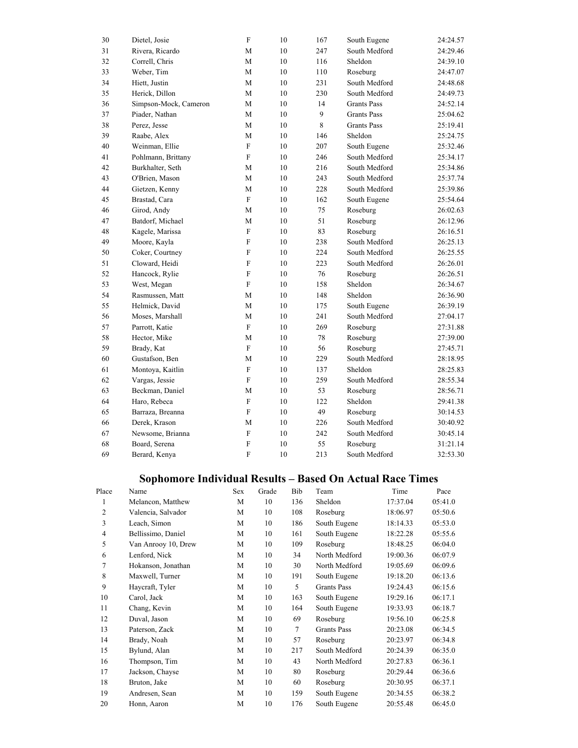| 30 | Dietel, Josie         | $\overline{F}$ | 10 | 167 | South Eugene       | 24:24.57 |
|----|-----------------------|----------------|----|-----|--------------------|----------|
| 31 | Rivera, Ricardo       | M              | 10 | 247 | South Medford      | 24:29.46 |
| 32 | Correll, Chris        | M              | 10 | 116 | Sheldon            | 24:39.10 |
| 33 | Weber, Tim            | M              | 10 | 110 | Roseburg           | 24:47.07 |
| 34 | Hiett, Justin         | M              | 10 | 231 | South Medford      | 24:48.68 |
| 35 | Herick, Dillon        | M              | 10 | 230 | South Medford      | 24:49.73 |
| 36 | Simpson-Mock, Cameron | M              | 10 | 14  | <b>Grants Pass</b> | 24:52.14 |
| 37 | Piader, Nathan        | M              | 10 | 9   | <b>Grants Pass</b> | 25:04.62 |
| 38 | Perez, Jesse          | M              | 10 | 8   | <b>Grants Pass</b> | 25:19.41 |
| 39 | Raabe, Alex           | М              | 10 | 146 | Sheldon            | 25:24.75 |
| 40 | Weinman, Ellie        | $\overline{F}$ | 10 | 207 | South Eugene       | 25:32.46 |
| 41 | Pohlmann, Brittany    | F              | 10 | 246 | South Medford      | 25:34.17 |
| 42 | Burkhalter, Seth      | М              | 10 | 216 | South Medford      | 25:34.86 |
| 43 | O'Brien, Mason        | M              | 10 | 243 | South Medford      | 25:37.74 |
| 44 | Gietzen, Kenny        | M              | 10 | 228 | South Medford      | 25:39.86 |
| 45 | Brastad, Cara         | $\overline{F}$ | 10 | 162 | South Eugene       | 25:54.64 |
| 46 | Girod, Andy           | M              | 10 | 75  | Roseburg           | 26:02.63 |
| 47 | Batdorf, Michael      | M              | 10 | 51  | Roseburg           | 26:12.96 |
| 48 | Kagele, Marissa       | $\overline{F}$ | 10 | 83  | Roseburg           | 26:16.51 |
| 49 | Moore, Kayla          | F              | 10 | 238 | South Medford      | 26:25.13 |
| 50 | Coker, Courtney       | ${\bf F}$      | 10 | 224 | South Medford      | 26:25.55 |
| 51 | Cloward, Heidi        | F              | 10 | 223 | South Medford      | 26:26.01 |
| 52 | Hancock, Rylie        | ${\rm F}$      | 10 | 76  | Roseburg           | 26:26.51 |
| 53 | West, Megan           | $\overline{F}$ | 10 | 158 | Sheldon            | 26:34.67 |
| 54 | Rasmussen, Matt       | M              | 10 | 148 | Sheldon            | 26:36.90 |
| 55 | Helmick, David        | M              | 10 | 175 | South Eugene       | 26:39.19 |
| 56 | Moses, Marshall       | M              | 10 | 241 | South Medford      | 27:04.17 |
| 57 | Parrott, Katie        | F              | 10 | 269 | Roseburg           | 27:31.88 |
| 58 | Hector, Mike          | M              | 10 | 78  | Roseburg           | 27:39.00 |
| 59 | Brady, Kat            | F              | 10 | 56  | Roseburg           | 27:45.71 |
| 60 | Gustafson, Ben        | M              | 10 | 229 | South Medford      | 28:18.95 |
| 61 | Montoya, Kaitlin      | $\overline{F}$ | 10 | 137 | Sheldon            | 28:25.83 |
| 62 | Vargas, Jessie        | $\overline{F}$ | 10 | 259 | South Medford      | 28:55.34 |
| 63 | Beckman, Daniel       | M              | 10 | 53  | Roseburg           | 28:56.71 |
| 64 | Haro, Rebeca          | F              | 10 | 122 | Sheldon            | 29:41.38 |
| 65 | Barraza, Breanna      | F              | 10 | 49  | Roseburg           | 30:14.53 |
| 66 | Derek, Krason         | M              | 10 | 226 | South Medford      | 30:40.92 |
| 67 | Newsome, Brianna      | ${\bf F}$      | 10 | 242 | South Medford      | 30:45.14 |
| 68 | Board, Serena         | F              | 10 | 55  | Roseburg           | 31:21.14 |
| 69 | Berard, Kenya         | $\overline{F}$ | 10 | 213 | South Medford      | 32:53.30 |

# **Sophomore Individual Results – Based On Actual Race Times**

| Place | Name                | Sex | Grade | Bib | Team               | Time     | Pace    |
|-------|---------------------|-----|-------|-----|--------------------|----------|---------|
| 1     | Melancon, Matthew   | M   | 10    | 136 | Sheldon            | 17:37.04 | 05:41.0 |
| 2     | Valencia, Salvador  | M   | 10    | 108 | Roseburg           | 18:06.97 | 05:50.6 |
| 3     | Leach, Simon        | M   | 10    | 186 | South Eugene       | 18:14.33 | 05:53.0 |
| 4     | Bellissimo, Daniel  | M   | 10    | 161 | South Eugene       | 18:22.28 | 05:55.6 |
| 5     | Van Anrooy 10, Drew | М   | 10    | 109 | Roseburg           | 18:48.25 | 06:04.0 |
| 6     | Lenford, Nick       | M   | 10    | 34  | North Medford      | 19:00.36 | 06:07.9 |
| 7     | Hokanson, Jonathan  | M   | 10    | 30  | North Medford      | 19:05.69 | 06:09.6 |
| 8     | Maxwell, Turner     | M   | 10    | 191 | South Eugene       | 19:18.20 | 06:13.6 |
| 9     | Haycraft, Tyler     | M   | 10    | 5   | Grants Pass        | 19:24.43 | 06:15.6 |
| 10    | Carol, Jack         | M   | 10    | 163 | South Eugene       | 19:29.16 | 06:17.1 |
| 11    | Chang, Kevin        | М   | 10    | 164 | South Eugene       | 19:33.93 | 06:18.7 |
| 12    | Duval, Jason        | M   | 10    | 69  | Roseburg           | 19:56.10 | 06:25.8 |
| 13    | Paterson, Zack      | M   | 10    | 7   | <b>Grants Pass</b> | 20:23.08 | 06:34.5 |
| 14    | Brady, Noah         | M   | 10    | 57  | Roseburg           | 20:23.97 | 06:34.8 |
| 15    | Bylund, Alan        | M   | 10    | 217 | South Medford      | 20:24.39 | 06:35.0 |
| 16    | Thompson, Tim       | M   | 10    | 43  | North Medford      | 20:27.83 | 06:36.1 |
| 17    | Jackson, Chayse     | M   | 10    | 80  | Roseburg           | 20:29.44 | 06:36.6 |
| 18    | Bruton, Jake        | M   | 10    | 60  | Roseburg           | 20:30.95 | 06:37.1 |
| 19    | Andresen, Sean      | M   | 10    | 159 | South Eugene       | 20:34.55 | 06:38.2 |
| 20    | Honn, Aaron         | M   | 10    | 176 | South Eugene       | 20:55.48 | 06:45.0 |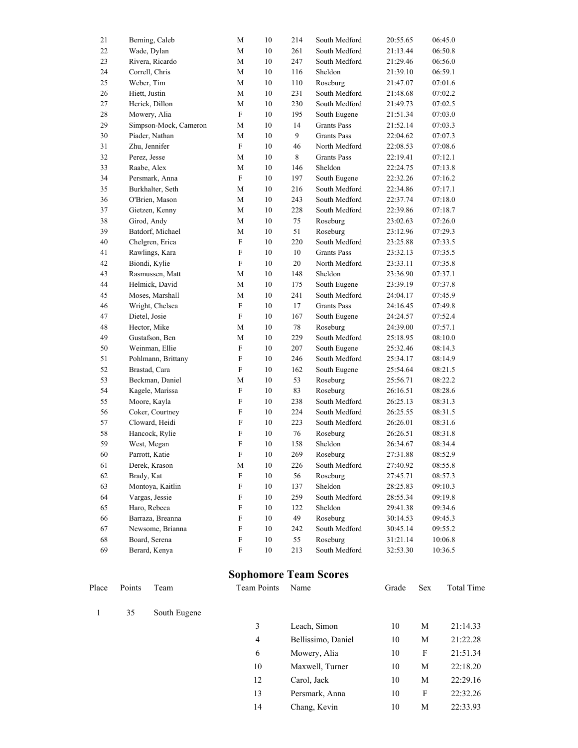| 21 | Berning, Caleb        | M                         | 10     | 214    | South Medford      | 20:55.65 | 06:45.0 |
|----|-----------------------|---------------------------|--------|--------|--------------------|----------|---------|
| 22 | Wade, Dylan           | М                         | 10     | 261    | South Medford      | 21:13.44 | 06:50.8 |
| 23 | Rivera, Ricardo       | M                         | 10     | 247    | South Medford      | 21:29.46 | 06:56.0 |
| 24 | Correll, Chris        | M                         | 10     | 116    | Sheldon            | 21:39.10 | 06:59.1 |
| 25 | Weber, Tim            | M                         | 10     | 110    | Roseburg           | 21:47.07 | 07:01.6 |
| 26 | Hiett, Justin         | $\mathbf M$               | 10     | 231    | South Medford      | 21:48.68 | 07:02.2 |
| 27 | Herick, Dillon        | M                         | 10     | 230    | South Medford      | 21:49.73 | 07:02.5 |
| 28 | Mowery, Alia          | $\boldsymbol{\mathrm{F}}$ | 10     | 195    | South Eugene       | 21:51.34 | 07:03.0 |
| 29 | Simpson-Mock, Cameron | M                         | 10     | 14     | <b>Grants Pass</b> | 21:52.14 | 07:03.3 |
| 30 | Piader, Nathan        | М                         | 10     | 9      | <b>Grants Pass</b> | 22:04.62 | 07:07.3 |
| 31 | Zhu, Jennifer         | F                         | 10     | 46     | North Medford      | 22:08.53 | 07:08.6 |
| 32 | Perez, Jesse          | М                         | 10     | 8      | <b>Grants Pass</b> | 22:19.41 | 07:12.1 |
| 33 | Raabe, Alex           | M                         | 10     | 146    | Sheldon            | 22:24.75 | 07:13.8 |
| 34 | Persmark, Anna        | $\rm F$                   | 10     | 197    | South Eugene       | 22:32.26 | 07:16.2 |
| 35 | Burkhalter, Seth      | $\mathbf M$               | 10     | 216    | South Medford      | 22:34.86 | 07:17.1 |
| 36 | O'Brien, Mason        | $\mathbf{M}$              | 10     | 243    | South Medford      | 22:37.74 | 07:18.0 |
| 37 | Gietzen, Kenny        | M                         | 10     | 228    | South Medford      | 22:39.86 | 07:18.7 |
| 38 | Girod, Andy           | М                         | 10     | 75     | Roseburg           | 23:02.63 | 07:26.0 |
| 39 | Batdorf, Michael      | M                         | 10     | 51     | Roseburg           | 23:12.96 | 07:29.3 |
| 40 | Chelgren, Erica       | $\mathbf F$               | 10     | 220    | South Medford      | 23:25.88 | 07:33.5 |
| 41 | Rawlings, Kara        | $\rm F$                   | 10     | 10     | <b>Grants Pass</b> | 23:32.13 | 07:35.5 |
| 42 | Biondi, Kylie         | $\mathbf F$               | 10     | $20\,$ | North Medford      | 23:33.11 | 07:35.8 |
| 43 | Rasmussen, Matt       | M                         | 10     | 148    | Sheldon            | 23:36.90 | 07:37.1 |
| 44 | Helmick, David        | $\mathbf M$               | 10     | 175    | South Eugene       | 23:39.19 | 07:37.8 |
| 45 | Moses, Marshall       | M                         | 10     | 241    | South Medford      | 24:04.17 | 07:45.9 |
| 46 | Wright, Chelsea       | $\boldsymbol{\mathrm{F}}$ | 10     | 17     | <b>Grants Pass</b> | 24:16.45 | 07:49.8 |
| 47 | Dietel, Josie         | $\rm F$                   | 10     | 167    | South Eugene       | 24:24.57 | 07:52.4 |
| 48 | Hector, Mike          | М                         | 10     | $78\,$ | Roseburg           | 24:39.00 | 07:57.1 |
| 49 | Gustafson, Ben        | M                         | 10     | 229    | South Medford      | 25:18.95 | 08:10.0 |
| 50 | Weinman, Ellie        | $\mathbf F$               | 10     | 207    | South Eugene       | 25:32.46 | 08:14.3 |
| 51 | Pohlmann, Brittany    | $\rm F$                   | 10     | 246    | South Medford      | 25:34.17 | 08:14.9 |
| 52 | Brastad, Cara         | $\mathbf F$               | 10     | 162    | South Eugene       | 25:54.64 | 08:21.5 |
| 53 | Beckman, Daniel       | М                         | 10     | 53     | Roseburg           | 25:56.71 | 08:22.2 |
| 54 | Kagele, Marissa       | $\rm F$                   | 10     | 83     | Roseburg           | 26:16.51 | 08:28.6 |
| 55 | Moore, Kayla          | $\rm F$                   | 10     | 238    | South Medford      | 26:25.13 | 08:31.3 |
| 56 | Coker, Courtney       | F                         | 10     | 224    | South Medford      | 26:25.55 | 08:31.5 |
| 57 | Cloward, Heidi        | $\boldsymbol{\mathrm{F}}$ | 10     | 223    | South Medford      | 26:26.01 | 08:31.6 |
| 58 | Hancock, Rylie        | F                         | 10     | 76     | Roseburg           | 26:26.51 | 08:31.8 |
| 59 | West, Megan           | $\rm F$                   | 10     | 158    | Sheldon            | 26:34.67 | 08:34.4 |
| 60 | Parrott, Katie        | $\overline{F}$            | 10     | 269    | Roseburg           | 27:31.88 | 08:52.9 |
| 61 | Derek, Krason         | M                         | $10\,$ | 226    | South Medford      | 27:40.92 | 08:55.8 |
| 62 | Brady, Kat            | $\boldsymbol{\mathrm{F}}$ | 10     | 56     | Roseburg           | 27:45.71 | 08:57.3 |
| 63 | Montoya, Kaitlin      | $\boldsymbol{\mathrm{F}}$ | 10     | 137    | Sheldon            | 28:25.83 | 09:10.3 |
| 64 | Vargas, Jessie        | F                         | 10     | 259    | South Medford      | 28:55.34 | 09:19.8 |
| 65 | Haro, Rebeca          | F                         | 10     | 122    | Sheldon            | 29:41.38 | 09:34.6 |
| 66 | Barraza, Breanna      | $\rm F$                   | 10     | 49     | Roseburg           | 30:14.53 | 09:45.3 |
| 67 | Newsome, Brianna      | $\rm F$                   | $10\,$ | 242    | South Medford      | 30:45.14 | 09:55.2 |
| 68 | Board, Serena         | $\rm F$                   | $10\,$ | 55     | Roseburg           | 31:21.14 | 10:06.8 |
| 69 | Berard, Kenya         | $\mathbf F$               | 10     | 213    | South Medford      | 32:53.30 | 10:36.5 |

# **Sophomore Team Scores**

| Place | Points | Team         | <b>Team Points</b> | Name               | Grade | <b>Sex</b> | Total Time |
|-------|--------|--------------|--------------------|--------------------|-------|------------|------------|
|       | 35     | South Eugene |                    |                    |       |            |            |
|       |        |              | 3                  | Leach, Simon       | 10    | M          | 21:14.33   |
|       |        |              | $\overline{4}$     | Bellissimo, Daniel | 10    | M          | 21:22.28   |
|       |        |              | 6                  | Mowery, Alia       | 10    | F          | 21:51.34   |
|       |        |              | 10                 | Maxwell, Turner    | 10    | M          | 22:18.20   |
|       |        |              | 12                 | Carol, Jack        | 10    | M          | 22:29.16   |
|       |        |              | 13                 | Persmark, Anna     | 10    | F          | 22:32.26   |
|       |        |              | 14                 | Chang, Kevin       | 10    | M          | 22:33.93   |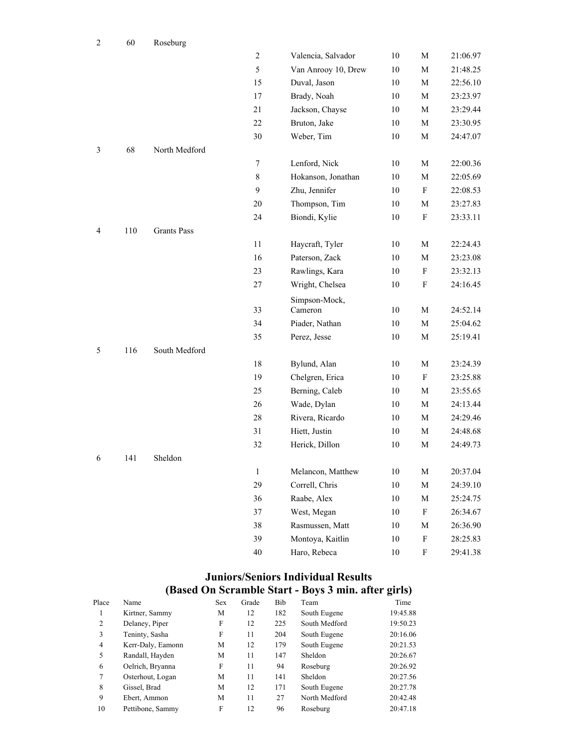| $\overline{c}$ | 60  | Roseburg           |              |                     |        |                           |          |
|----------------|-----|--------------------|--------------|---------------------|--------|---------------------------|----------|
|                |     |                    | $\sqrt{2}$   | Valencia, Salvador  | $10\,$ | M                         | 21:06.97 |
|                |     |                    | 5            | Van Anrooy 10, Drew | $10\,$ | $\mathbf M$               | 21:48.25 |
|                |     |                    | 15           | Duval, Jason        | 10     | M                         | 22:56.10 |
|                |     |                    | 17           | Brady, Noah         | 10     | $\mathbf M$               | 23:23.97 |
|                |     |                    | 21           | Jackson, Chayse     | 10     | M                         | 23:29.44 |
|                |     |                    | 22           | Bruton, Jake        | 10     | M                         | 23:30.95 |
|                |     |                    | 30           | Weber, Tim          | $10\,$ | $\mathbf M$               | 24:47.07 |
| $\mathfrak{Z}$ | 68  | North Medford      |              |                     |        |                           |          |
|                |     |                    | $\tau$       | Lenford, Nick       | 10     | $\mathbf M$               | 22:00.36 |
|                |     |                    | 8            | Hokanson, Jonathan  | 10     | $\mathbf M$               | 22:05.69 |
|                |     |                    | 9            | Zhu, Jennifer       | 10     | F                         | 22:08.53 |
|                |     |                    | 20           | Thompson, Tim       | 10     | M                         | 23:27.83 |
|                |     |                    | 24           | Biondi, Kylie       | 10     | ${\bf F}$                 | 23:33.11 |
| 4              | 110 | <b>Grants Pass</b> |              |                     |        |                           |          |
|                |     |                    | 11           | Haycraft, Tyler     | 10     | $\mathbf M$               | 22:24.43 |
|                |     |                    | 16           | Paterson, Zack      | $10\,$ | M                         | 23:23.08 |
|                |     |                    | 23           | Rawlings, Kara      | 10     | F                         | 23:32.13 |
|                |     |                    | 27           | Wright, Chelsea     | 10     | $\boldsymbol{\mathrm{F}}$ | 24:16.45 |
|                |     |                    |              | Simpson-Mock,       |        |                           |          |
|                |     |                    | 33           | Cameron             | 10     | M                         | 24:52.14 |
|                |     |                    | 34           | Piader, Nathan      | $10\,$ | $\mathbf M$               | 25:04.62 |
|                |     |                    | 35           | Perez, Jesse        | 10     | M                         | 25:19.41 |
| 5              | 116 | South Medford      |              |                     |        |                           |          |
|                |     |                    | 18           | Bylund, Alan        | 10     | M                         | 23:24.39 |
|                |     |                    | 19           | Chelgren, Erica     | 10     | F                         | 23:25.88 |
|                |     |                    | 25           | Berning, Caleb      | 10     | $\mathbf M$               | 23:55.65 |
|                |     |                    | 26           | Wade, Dylan         | 10     | M                         | 24:13.44 |
|                |     |                    | 28           | Rivera, Ricardo     | 10     | M                         | 24:29.46 |
|                |     |                    | 31           | Hiett, Justin       | 10     | M                         | 24:48.68 |
|                |     |                    | 32           | Herick, Dillon      | 10     | M                         | 24:49.73 |
| 6              | 141 | Sheldon            |              |                     |        |                           |          |
|                |     |                    | $\mathbf{1}$ | Melancon, Matthew   | $10\,$ | $\mathbf M$               | 20:37.04 |
|                |     |                    | 29           | Correll, Chris      | 10     | $\mathbf M$               | 24:39.10 |
|                |     |                    | 36           | Raabe, Alex         | 10     | M                         | 25:24.75 |
|                |     |                    | 37           | West, Megan         | $10\,$ | ${\bf F}$                 | 26:34.67 |
|                |     |                    | 38           | Rasmussen, Matt     | 10     | $\mathbf M$               | 26:36.90 |
|                |     |                    | 39           | Montoya, Kaitlin    | $10\,$ | ${\bf F}$                 | 28:25.83 |
|                |     |                    | $40\,$       | Haro, Rebeca        | $10\,$ | ${\bf F}$                 | 29:41.38 |

#### **Juniors/Seniors Individual Results (Based On Scramble Start - Boys 3 min. after girls)**

| Place          | Name              | <b>Sex</b> | Grade | Bib | Team          | Time     |
|----------------|-------------------|------------|-------|-----|---------------|----------|
|                | Kirtner, Sammy    | M          | 12    | 182 | South Eugene  | 19:45.88 |
| 2              | Delaney, Piper    | F          | 12    | 225 | South Medford | 19:50.23 |
| 3              | Teninty, Sasha    | F          | 11    | 204 | South Eugene  | 20:16.06 |
| $\overline{4}$ | Kerr-Daly, Eamonn | M          | 12    | 179 | South Eugene  | 20:21.53 |
| 5              | Randall, Hayden   | M          | 11    | 147 | Sheldon       | 20:26.67 |
| 6              | Oelrich, Bryanna  | F          | 11    | 94  | Roseburg      | 20:26.92 |
| 7              | Osterhout, Logan  | M          | 11    | 141 | Sheldon       | 20:27.56 |
| 8              | Gissel, Brad      | M          | 12    | 171 | South Eugene  | 20:27.78 |
| 9              | Ebert, Ammon      | М          | 11    | 27  | North Medford | 20:42.48 |
| 10             | Pettibone, Sammy  | F          | 12    | 96  | Roseburg      | 20:47.18 |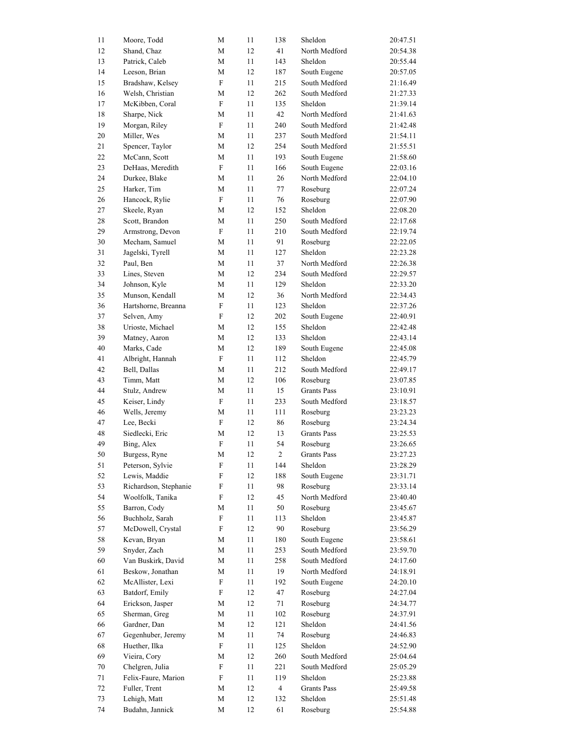| 11 | Moore, Todd           | M                         | 11 | 138            | Sheldon            | 20:47.51 |
|----|-----------------------|---------------------------|----|----------------|--------------------|----------|
| 12 | Shand, Chaz           | M                         | 12 | 41             | North Medford      | 20:54.38 |
| 13 | Patrick, Caleb        | М                         | 11 | 143            | Sheldon            | 20:55.44 |
| 14 | Leeson, Brian         | M                         | 12 | 187            | South Eugene       | 20:57.05 |
| 15 | Bradshaw, Kelsey      | ${\bf F}$                 | 11 | 215            | South Medford      | 21:16.49 |
| 16 | Welsh, Christian      | M                         | 12 | 262            | South Medford      | 21:27.33 |
| 17 | McKibben, Coral       | ${\rm F}$                 | 11 | 135            | Sheldon            | 21:39.14 |
| 18 | Sharpe, Nick          | M                         | 11 | 42             | North Medford      | 21:41.63 |
| 19 | Morgan, Riley         | ${\rm F}$                 | 11 | 240            | South Medford      | 21:42.48 |
| 20 | Miller, Wes           | M                         | 11 | 237            | South Medford      | 21:54.11 |
| 21 | Spencer, Taylor       | М                         | 12 | 254            | South Medford      | 21:55.51 |
| 22 | McCann, Scott         | M                         | 11 | 193            | South Eugene       | 21:58.60 |
| 23 | DeHaas, Meredith      | ${\rm F}$                 | 11 | 166            | South Eugene       | 22:03.16 |
| 24 | Durkee, Blake         | M                         | 11 | 26             | North Medford      | 22:04.10 |
| 25 | Harker, Tim           | M                         | 11 | 77             | Roseburg           | 22:07.24 |
| 26 | Hancock, Rylie        | ${\rm F}$                 | 11 | 76             | Roseburg           | 22:07.90 |
| 27 | Skeele, Ryan          | M                         | 12 | 152            | Sheldon            | 22:08.20 |
| 28 | Scott, Brandon        | M                         | 11 | 250            | South Medford      | 22:17.68 |
|    |                       | ${\rm F}$                 |    |                |                    | 22:19.74 |
| 29 | Armstrong, Devon      |                           | 11 | 210            | South Medford      |          |
| 30 | Mecham, Samuel        | M                         | 11 | 91             | Roseburg           | 22:22.05 |
| 31 | Jagelski, Tyrell      | M                         | 11 | 127            | Sheldon            | 22:23.28 |
| 32 | Paul, Ben             | M                         | 11 | 37             | North Medford      | 22:26.38 |
| 33 | Lines, Steven         | M                         | 12 | 234            | South Medford      | 22:29.57 |
| 34 | Johnson, Kyle         | М                         | 11 | 129            | Sheldon            | 22:33.20 |
| 35 | Munson, Kendall       | M                         | 12 | 36             | North Medford      | 22:34.43 |
| 36 | Hartshorne, Breanna   | ${\rm F}$                 | 11 | 123            | Sheldon            | 22:37.26 |
| 37 | Selven, Amy           | F                         | 12 | 202            | South Eugene       | 22:40.91 |
| 38 | Urioste, Michael      | M                         | 12 | 155            | Sheldon            | 22:42.48 |
| 39 | Matney, Aaron         | М                         | 12 | 133            | Sheldon            | 22:43.14 |
| 40 | Marks, Cade           | M                         | 12 | 189            | South Eugene       | 22:45.08 |
| 41 | Albright, Hannah      | ${\rm F}$                 | 11 | 112            | Sheldon            | 22:45.79 |
| 42 | Bell, Dallas          | M                         | 11 | 212            | South Medford      | 22:49.17 |
| 43 | Timm, Matt            | М                         | 12 | 106            | Roseburg           | 23:07.85 |
| 44 | Stulz, Andrew         | М                         | 11 | 15             | <b>Grants Pass</b> | 23:10.91 |
| 45 | Keiser, Lindy         | F                         | 11 | 233            | South Medford      | 23:18.57 |
| 46 | Wells, Jeremy         | M                         | 11 | 111            | Roseburg           | 23:23.23 |
| 47 | Lee, Becki            | ${\rm F}$                 | 12 | 86             | Roseburg           | 23:24.34 |
| 48 | Siedlecki, Eric       | M                         | 12 | 13             | <b>Grants Pass</b> | 23:25.53 |
| 49 | Bing, Alex            | ${\rm F}$                 | 11 | 54             | Roseburg           | 23:26.65 |
| 50 | Burgess, Ryne         | M                         | 12 | $\overline{c}$ | <b>Grants Pass</b> | 23:27.23 |
| 51 | Peterson, Sylvie      | $\boldsymbol{\mathrm{F}}$ | 11 | 144            | Sheldon            | 23:28.29 |
| 52 | Lewis, Maddie         | ${\rm F}$                 | 12 | 188            | South Eugene       | 23:31.71 |
| 53 | Richardson, Stephanie | $\boldsymbol{\mathrm{F}}$ | 11 | 98             | Roseburg           | 23:33.14 |
| 54 | Woolfolk, Tanika      | F                         | 12 | 45             | North Medford      | 23:40.40 |
| 55 | Barron, Cody          | М                         | 11 | 50             | Roseburg           | 23:45.67 |
| 56 | Buchholz, Sarah       | ${\rm F}$                 | 11 | 113            | Sheldon            | 23:45.87 |
| 57 | McDowell, Crystal     | $\boldsymbol{\mathrm{F}}$ | 12 | 90             | Roseburg           | 23:56.29 |
| 58 | Kevan, Bryan          | M                         | 11 | 180            | South Eugene       | 23:58.61 |
| 59 | Snyder, Zach          |                           |    |                | South Medford      |          |
|    |                       | M                         | 11 | 253            | South Medford      | 23:59.70 |
| 60 | Van Buskirk, David    | M                         | 11 | 258            | North Medford      | 24:17.60 |
| 61 | Beskow, Jonathan      | M                         | 11 | 19             |                    | 24:18.91 |
| 62 | McAllister, Lexi      | F                         | 11 | 192            | South Eugene       | 24:20.10 |
| 63 | Batdorf, Emily        | $\boldsymbol{\mathrm{F}}$ | 12 | 47             | Roseburg           | 24:27.04 |
| 64 | Erickson, Jasper      | M                         | 12 | 71             | Roseburg           | 24:34.77 |
| 65 | Sherman, Greg         | M                         | 11 | 102            | Roseburg           | 24:37.91 |
| 66 | Gardner, Dan          | M                         | 12 | 121            | Sheldon            | 24:41.56 |
| 67 | Gegenhuber, Jeremy    | M                         | 11 | 74             | Roseburg           | 24:46.83 |
| 68 | Huether, Ilka         | ${\rm F}$                 | 11 | 125            | Sheldon            | 24:52.90 |
| 69 | Vieira, Cory          | M                         | 12 | 260            | South Medford      | 25:04.64 |
| 70 | Chelgren, Julia       | F                         | 11 | 221            | South Medford      | 25:05.29 |
| 71 | Felix-Faure, Marion   | $\boldsymbol{\mathrm{F}}$ | 11 | 119            | Sheldon            | 25:23.88 |
| 72 | Fuller, Trent         | M                         | 12 | $\overline{4}$ | <b>Grants Pass</b> | 25:49.58 |
| 73 | Lehigh, Matt          | M                         | 12 | 132            | Sheldon            | 25:51.48 |
| 74 | Budahn, Jannick       | M                         | 12 | 61             | Roseburg           | 25:54.88 |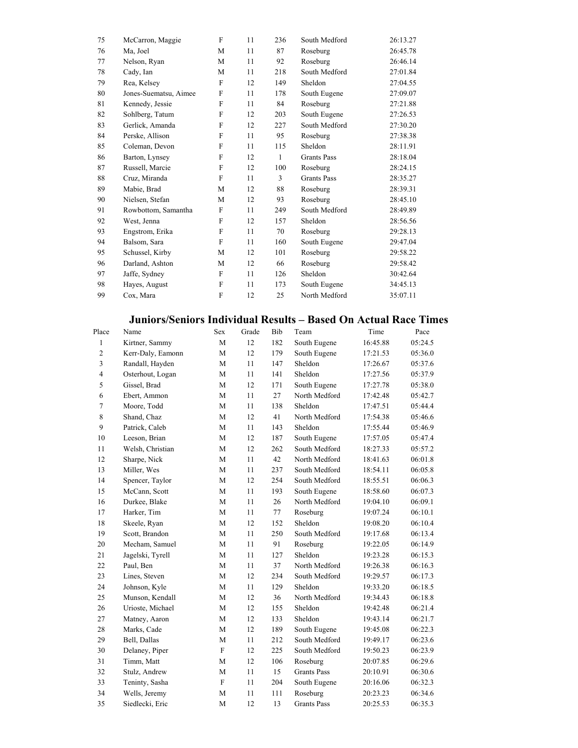| 75 | McCarron, Maggie      | F | 11 | 236 | South Medford      | 26:13.27 |
|----|-----------------------|---|----|-----|--------------------|----------|
| 76 | Ma, Joel              | M | 11 | 87  | Roseburg           | 26:45.78 |
| 77 | Nelson, Ryan          | M | 11 | 92  | Roseburg           | 26:46.14 |
| 78 | Cady, Ian             | M | 11 | 218 | South Medford      | 27:01.84 |
| 79 | Rea, Kelsey           | F | 12 | 149 | Sheldon            | 27:04.55 |
| 80 | Jones-Suematsu, Aimee | F | 11 | 178 | South Eugene       | 27:09.07 |
| 81 | Kennedy, Jessie       | F | 11 | 84  | Roseburg           | 27:21.88 |
| 82 | Sohlberg, Tatum       | F | 12 | 203 | South Eugene       | 27:26.53 |
| 83 | Gerlick, Amanda       | F | 12 | 227 | South Medford      | 27:30.20 |
| 84 | Perske, Allison       | F | 11 | 95  | Roseburg           | 27:38.38 |
| 85 | Coleman, Devon        | F | 11 | 115 | Sheldon            | 28:11.91 |
| 86 | Barton, Lynsey        | F | 12 | 1   | <b>Grants Pass</b> | 28:18.04 |
| 87 | Russell, Marcie       | F | 12 | 100 | Roseburg           | 28:24.15 |
| 88 | Cruz, Miranda         | F | 11 | 3   | <b>Grants Pass</b> | 28:35.27 |
| 89 | Mabie, Brad           | M | 12 | 88  | Roseburg           | 28:39.31 |
| 90 | Nielsen, Stefan       | M | 12 | 93  | Roseburg           | 28:45.10 |
| 91 | Rowbottom, Samantha   | F | 11 | 249 | South Medford      | 28:49.89 |
| 92 | West, Jenna           | F | 12 | 157 | Sheldon            | 28:56.56 |
| 93 | Engstrom, Erika       | F | 11 | 70  | Roseburg           | 29:28.13 |
| 94 | Balsom, Sara          | F | 11 | 160 | South Eugene       | 29:47.04 |
| 95 | Schussel, Kirby       | M | 12 | 101 | Roseburg           | 29:58.22 |
| 96 | Darland, Ashton       | M | 12 | 66  | Roseburg           | 29:58.42 |
| 97 | Jaffe, Sydney         | F | 11 | 126 | Sheldon            | 30:42.64 |
| 98 | Hayes, August         | F | 11 | 173 | South Eugene       | 34:45.13 |
| 99 | Cox, Mara             | F | 12 | 25  | North Medford      | 35:07.11 |
|    |                       |   |    |     |                    |          |

### **Juniors/Seniors Individual Results – Based On Actual Race Times**

| Place          | Name              | Sex         | Grade | Bib | Team               | Time     | Pace    |
|----------------|-------------------|-------------|-------|-----|--------------------|----------|---------|
| 1              | Kirtner, Sammy    | M           | 12    | 182 | South Eugene       | 16:45.88 | 05:24.5 |
| $\overline{c}$ | Kerr-Daly, Eamonn | M           | 12    | 179 | South Eugene       | 17:21.53 | 05:36.0 |
| 3              | Randall, Hayden   | M           | 11    | 147 | Sheldon            | 17:26.67 | 05:37.6 |
| $\overline{4}$ | Osterhout, Logan  | M           | 11    | 141 | Sheldon            | 17:27.56 | 05:37.9 |
| 5              | Gissel, Brad      | M           | 12    | 171 | South Eugene       | 17:27.78 | 05:38.0 |
| 6              | Ebert, Ammon      | M           | 11    | 27  | North Medford      | 17:42.48 | 05:42.7 |
| $\overline{7}$ | Moore, Todd       | M           | 11    | 138 | Sheldon            | 17:47.51 | 05:44.4 |
| 8              | Shand, Chaz       | M           | 12    | 41  | North Medford      | 17:54.38 | 05:46.6 |
| 9              | Patrick, Caleb    | M           | 11    | 143 | Sheldon            | 17:55.44 | 05:46.9 |
| 10             | Leeson, Brian     | M           | 12    | 187 | South Eugene       | 17:57.05 | 05:47.4 |
| 11             | Welsh, Christian  | M           | 12    | 262 | South Medford      | 18:27.33 | 05:57.2 |
| 12             | Sharpe, Nick      | M           | 11    | 42  | North Medford      | 18:41.63 | 06:01.8 |
| 13             | Miller, Wes       | M           | 11    | 237 | South Medford      | 18:54.11 | 06:05.8 |
| 14             | Spencer, Taylor   | M           | 12    | 254 | South Medford      | 18:55.51 | 06:06.3 |
| 15             | McCann, Scott     | M           | 11    | 193 | South Eugene       | 18:58.60 | 06:07.3 |
| 16             | Durkee, Blake     | M           | 11    | 26  | North Medford      | 19:04.10 | 06:09.1 |
| 17             | Harker, Tim       | M           | 11    | 77  | Roseburg           | 19:07.24 | 06:10.1 |
| 18             | Skeele, Ryan      | M           | 12    | 152 | Sheldon            | 19:08.20 | 06:10.4 |
| 19             | Scott, Brandon    | M           | 11    | 250 | South Medford      | 19:17.68 | 06:13.4 |
| 20             | Mecham, Samuel    | M           | 11    | 91  | Roseburg           | 19:22.05 | 06:14.9 |
| 21             | Jagelski, Tyrell  | M           | 11    | 127 | Sheldon            | 19:23.28 | 06:15.3 |
| 22             | Paul, Ben         | M           | 11    | 37  | North Medford      | 19:26.38 | 06:16.3 |
| 23             | Lines, Steven     | M           | 12    | 234 | South Medford      | 19:29.57 | 06:17.3 |
| 24             | Johnson, Kyle     | M           | 11    | 129 | Sheldon            | 19:33.20 | 06:18.5 |
| 25             | Munson, Kendall   | M           | 12    | 36  | North Medford      | 19:34.43 | 06:18.8 |
| 26             | Urioste, Michael  | M           | 12    | 155 | Sheldon            | 19:42.48 | 06:21.4 |
| 27             | Matney, Aaron     | M           | 12    | 133 | Sheldon            | 19:43.14 | 06:21.7 |
| 28             | Marks, Cade       | M           | 12    | 189 | South Eugene       | 19:45.08 | 06:22.3 |
| 29             | Bell, Dallas      | M           | 11    | 212 | South Medford      | 19:49.17 | 06:23.6 |
| 30             | Delaney, Piper    | $\mathbf F$ | 12    | 225 | South Medford      | 19:50.23 | 06:23.9 |
| 31             | Timm, Matt        | M           | 12    | 106 | Roseburg           | 20:07.85 | 06:29.6 |
| 32             | Stulz, Andrew     | M           | 11    | 15  | <b>Grants Pass</b> | 20:10.91 | 06:30.6 |
| 33             | Teninty, Sasha    | ${\bf F}$   | 11    | 204 | South Eugene       | 20:16.06 | 06:32.3 |
| 34             | Wells, Jeremy     | M           | 11    | 111 | Roseburg           | 20:23.23 | 06:34.6 |
| 35             | Siedlecki, Eric   | M           | 12    | 13  | <b>Grants Pass</b> | 20:25.53 | 06:35.3 |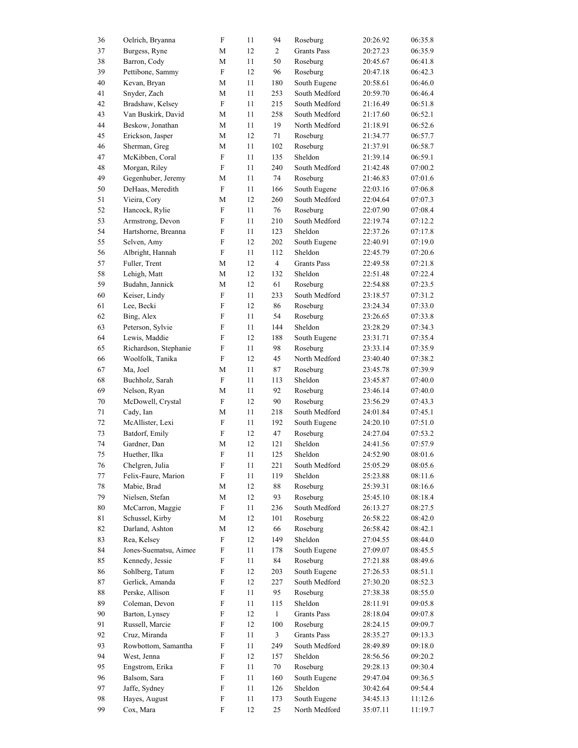| 36       | Oelrich, Bryanna             | ${\bf F}$                      | 11 | 94             | Roseburg           | 20:26.92 | 06:35.8 |
|----------|------------------------------|--------------------------------|----|----------------|--------------------|----------|---------|
| 37       | Burgess, Ryne                | М                              | 12 | $\overline{2}$ | <b>Grants Pass</b> | 20:27.23 | 06:35.9 |
| 38       | Barron, Cody                 | $\mathbf M$                    | 11 | 50             | Roseburg           | 20:45.67 | 06:41.8 |
| 39       | Pettibone, Sammy             | $\mathbf F$                    | 12 | 96             | Roseburg           | 20:47.18 | 06:42.3 |
| 40       | Kevan, Bryan                 | M                              | 11 | 180            | South Eugene       | 20:58.61 | 06:46.0 |
| 41       | Snyder, Zach                 | М                              | 11 | 253            | South Medford      | 20:59.70 | 06:46.4 |
| 42       | Bradshaw, Kelsey             | ${\bf F}$                      | 11 | 215            | South Medford      | 21:16.49 | 06:51.8 |
| 43       | Van Buskirk, David           | M                              | 11 | 258            | South Medford      | 21:17.60 | 06:52.1 |
| 44       | Beskow, Jonathan             | M                              | 11 | 19             | North Medford      | 21:18.91 | 06:52.6 |
| 45       | Erickson, Jasper             | M                              | 12 | 71             | Roseburg           | 21:34.77 | 06:57.7 |
| 46       | Sherman, Greg                | M                              | 11 | 102            | Roseburg           | 21:37.91 | 06:58.7 |
| 47       | McKibben, Coral              | F                              | 11 | 135            | Sheldon            | 21:39.14 | 06:59.1 |
| 48       | Morgan, Riley                | F                              | 11 | 240            | South Medford      | 21:42.48 | 07:00.2 |
| 49       | Gegenhuber, Jeremy           | M                              | 11 | 74             | Roseburg           | 21:46.83 | 07:01.6 |
| 50       | DeHaas, Meredith             | ${\rm F}$                      | 11 | 166            | South Eugene       | 22:03.16 | 07:06.8 |
| 51       | Vieira, Cory                 | M                              | 12 | 260            | South Medford      | 22:04.64 | 07:07.3 |
| 52       | Hancock, Rylie               | ${\rm F}$                      | 11 | 76             | Roseburg           | 22:07.90 | 07:08.4 |
| 53       | Armstrong, Devon             | $\boldsymbol{\mathrm{F}}$      | 11 | 210            | South Medford      | 22:19.74 | 07:12.2 |
| 54       | Hartshorne, Breanna          | ${\rm F}$                      | 11 | 123            | Sheldon            | 22:37.26 | 07:17.8 |
| 55       | Selven, Amy                  | $\boldsymbol{\mathrm{F}}$      | 12 | 202            | South Eugene       | 22:40.91 | 07:19.0 |
| 56       | Albright, Hannah             | ${\rm F}$                      | 11 | 112            | Sheldon            | 22:45.79 | 07:20.6 |
| 57       | Fuller, Trent                | М                              | 12 | $\overline{4}$ | <b>Grants Pass</b> | 22:49.58 | 07:21.8 |
| 58       | Lehigh, Matt                 | M                              | 12 | 132            | Sheldon            | 22:51.48 | 07:22.4 |
| 59       | Budahn, Jannick              | M                              | 12 | 61             | Roseburg           | 22:54.88 | 07:23.5 |
| 60       | Keiser, Lindy                | ${\rm F}$                      | 11 | 233            | South Medford      | 23:18.57 | 07:31.2 |
| 61       | Lee, Becki                   | F                              | 12 | 86             | Roseburg           | 23:24.34 | 07:33.0 |
| 62       | Bing, Alex                   | F                              | 11 | 54             | Roseburg           | 23:26.65 | 07:33.8 |
| 63       | Peterson, Sylvie             | $\boldsymbol{\mathrm{F}}$      | 11 | 144            | Sheldon            | 23:28.29 | 07:34.3 |
| 64       | Lewis, Maddie                | F                              | 12 | 188            | South Eugene       | 23:31.71 | 07:35.4 |
| 65       |                              | F                              | 11 | 98             | Roseburg           |          |         |
|          | Richardson, Stephanie        | ${\rm F}$                      |    |                |                    | 23:33.14 | 07:35.9 |
| 66       | Woolfolk, Tanika<br>Ma, Joel |                                | 12 | 45             | North Medford      | 23:40.40 | 07:38.2 |
| 67       |                              | M<br>$\boldsymbol{\mathrm{F}}$ | 11 | 87             | Roseburg           | 23:45.78 | 07:39.9 |
| 68       | Buchholz, Sarah              |                                | 11 | 113            | Sheldon            | 23:45.87 | 07:40.0 |
| 69       | Nelson, Ryan                 | M                              | 11 | 92             | Roseburg           | 23:46.14 | 07:40.0 |
| 70       | McDowell, Crystal            | F                              | 12 | 90             | Roseburg           | 23:56.29 | 07:43.3 |
| 71       | Cady, Ian                    | $\mathbf M$                    | 11 | 218            | South Medford      | 24:01.84 | 07:45.1 |
| 72       | McAllister, Lexi             | ${\bf F}$                      | 11 | 192            | South Eugene       | 24:20.10 | 07:51.0 |
| 73       | Batdorf, Emily               | F                              | 12 | 47             | Roseburg           | 24:27.04 | 07:53.2 |
| 74       | Gardner, Dan                 | $\mathbf M$                    | 12 | 121            | Sheldon            | 24:41.56 | 07:57.9 |
| 75       | Huether, Ilka                | F                              | 11 | 125            | Sheldon            | 24:52.90 | 08:01.6 |
| 76       | Chelgren, Julia              | ${\bf F}$                      | 11 | 221            | South Medford      | 25:05.29 | 08:05.6 |
| 77       | Felix-Faure, Marion          | $\boldsymbol{\mathrm{F}}$      | 11 | 119            | Sheldon            | 25:23.88 | 08:11.6 |
| 78       | Mabie, Brad                  | M                              | 12 | $\bf 88$       | Roseburg           | 25:39.31 | 08:16.6 |
| 79       | Nielsen, Stefan              | M                              | 12 | 93             | Roseburg           | 25:45.10 | 08:18.4 |
| $80\,$   | McCarron, Maggie             | ${\rm F}$                      | 11 | 236            | South Medford      | 26:13.27 | 08:27.5 |
| 81       | Schussel, Kirby              | M                              | 12 | 101            | Roseburg           | 26:58.22 | 08:42.0 |
| 82       | Darland, Ashton              | M                              | 12 | 66             | Roseburg           | 26:58.42 | 08:42.1 |
| 83       | Rea, Kelsey                  | $\boldsymbol{\mathrm{F}}$      | 12 | 149            | Sheldon            | 27:04.55 | 08:44.0 |
| 84       | Jones-Suematsu, Aimee        | $\boldsymbol{\mathrm{F}}$      | 11 | 178            | South Eugene       | 27:09.07 | 08:45.5 |
| 85       | Kennedy, Jessie              | ${\bf F}$                      | 11 | 84             | Roseburg           | 27:21.88 | 08:49.6 |
| 86       | Sohlberg, Tatum              | $\boldsymbol{\mathrm{F}}$      | 12 | 203            | South Eugene       | 27:26.53 | 08:51.1 |
| 87       | Gerlick, Amanda              | $\boldsymbol{\mathrm{F}}$      | 12 | 227            | South Medford      | 27:30.20 | 08:52.3 |
| $\bf 88$ | Perske, Allison              | F                              | 11 | 95             | Roseburg           | 27:38.38 | 08:55.0 |
| 89       | Coleman, Devon               | $\boldsymbol{\mathrm{F}}$      | 11 | 115            | Sheldon            | 28:11.91 | 09:05.8 |
| 90       | Barton, Lynsey               | $\boldsymbol{\mathrm{F}}$      | 12 | $\mathbf{1}$   | <b>Grants Pass</b> | 28:18.04 | 09:07.8 |
| 91       | Russell, Marcie              | $\boldsymbol{\mathrm{F}}$      | 12 | 100            | Roseburg           | 28:24.15 | 09:09.7 |
| 92       | Cruz, Miranda                | ${\rm F}$                      | 11 | 3              | <b>Grants Pass</b> | 28:35.27 | 09:13.3 |
| 93       | Rowbottom, Samantha          | $\boldsymbol{\mathrm{F}}$      | 11 | 249            | South Medford      | 28:49.89 | 09:18.0 |
| 94       | West, Jenna                  | $\boldsymbol{\mathrm{F}}$      | 12 | 157            | Sheldon            | 28:56.56 | 09:20.2 |
| 95       | Engstrom, Erika              | F                              | 11 | $70\,$         | Roseburg           | 29:28.13 | 09:30.4 |
| 96       | Balsom, Sara                 | $\boldsymbol{\mathrm{F}}$      | 11 | 160            | South Eugene       | 29:47.04 | 09:36.5 |
| 97       | Jaffe, Sydney                | $\boldsymbol{\mathrm{F}}$      | 11 | 126            | Sheldon            | 30:42.64 | 09:54.4 |
| 98       | Hayes, August                | $\boldsymbol{\mathrm{F}}$      | 11 | 173            | South Eugene       | 34:45.13 | 11:12.6 |
| 99       | Cox, Mara                    | ${\rm F}$                      | 12 | 25             | North Medford      | 35:07.11 | 11:19.7 |